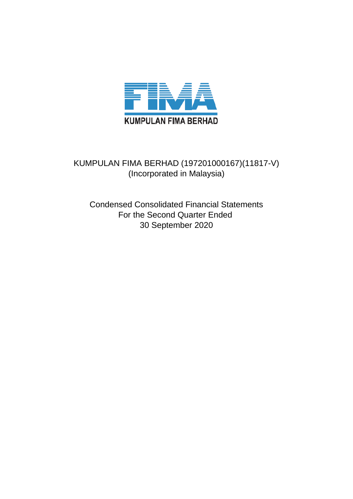

# KUMPULAN FIMA BERHAD (197201000167)(11817-V) (Incorporated in Malaysia)

Condensed Consolidated Financial Statements For the Second Quarter Ended 30 September 2020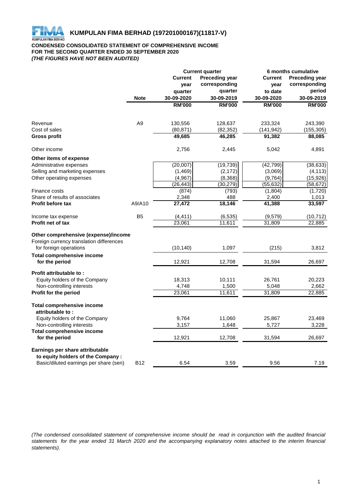

# **CONDENSED CONSOLIDATED STATEMENT OF COMPREHENSIVE INCOME FOR THE SECOND QUARTER ENDED 30 SEPTEMBER 2020** *(THE FIGURES HAVE NOT BEEN AUDITED)*

|                                                          |                | <b>Current quarter</b> |                       | 6 months cumulative |                       |  |
|----------------------------------------------------------|----------------|------------------------|-----------------------|---------------------|-----------------------|--|
|                                                          |                | <b>Current</b>         | <b>Preceding year</b> | <b>Current</b>      | <b>Preceding year</b> |  |
|                                                          |                | year                   | corresponding         | year                | corresponding         |  |
|                                                          |                | quarter                | quarter               | to date             | period                |  |
|                                                          | <b>Note</b>    | 30-09-2020             | 30-09-2019            | 30-09-2020          | 30-09-2019            |  |
|                                                          |                | <b>RM'000</b>          | <b>RM'000</b>         | <b>RM'000</b>       | <b>RM'000</b>         |  |
|                                                          |                |                        |                       |                     |                       |  |
| Revenue                                                  | A <sub>9</sub> | 130,556                | 128,637               | 233,324             | 243,390               |  |
| Cost of sales                                            |                | (80, 871)              | (82, 352)             | (141, 942)          | (155, 305)            |  |
| Gross profit                                             |                | 49,685                 | 46,285                | 91,382              | 88,085                |  |
| Other income                                             |                | 2,756                  | 2,445                 | 5,042               | 4,891                 |  |
| Other items of expense                                   |                |                        |                       |                     |                       |  |
| Administrative expenses                                  |                | (20,007)               | (19, 739)             | (42, 799)           | (38, 633)             |  |
| Selling and marketing expenses                           |                | (1,469)                | (2, 172)              | (3,069)             | (4, 113)              |  |
| Other operating expenses                                 |                | (4,967)                | (8,368)               | (9,764)             | (15, 926)             |  |
|                                                          |                | (26, 443)              | (30, 279)             | (55, 632)           | (58, 672)             |  |
| Finance costs                                            |                | (874)                  | (793)                 | (1,804)             | (1,720)               |  |
| Share of results of associates                           |                | 2,348                  | 488                   | 2,400               | 1,013                 |  |
| <b>Profit before tax</b>                                 | A9/A10         | 27,472                 | 18,146                | 41,388              | 33,597                |  |
| Income tax expense                                       | B <sub>5</sub> | (4, 411)               | (6, 535)              | (9, 579)            | (10, 712)             |  |
| Profit net of tax                                        |                | 23,061                 | 11,611                | 31,809              | 22,885                |  |
| Other comprehensive (expense)/income                     |                |                        |                       |                     |                       |  |
| Foreign currency translation differences                 |                |                        |                       |                     |                       |  |
| for foreign operations                                   |                | (10, 140)              | 1,097                 | (215)               | 3,812                 |  |
|                                                          |                |                        |                       |                     |                       |  |
| <b>Total comprehensive income</b><br>for the period      |                | 12,921                 | 12,708                | 31,594              | 26,697                |  |
|                                                          |                |                        |                       |                     |                       |  |
| Profit attributable to:<br>Equity holders of the Company |                | 18,313                 | 10,111                | 26,761              | 20,223                |  |
| Non-controlling interests                                |                | 4,748                  | 1,500                 | 5,048               | 2,662                 |  |
| Profit for the period                                    |                | 23,061                 | 11,611                | 31,809              | 22,885                |  |
|                                                          |                |                        |                       |                     |                       |  |
| <b>Total comprehensive income</b>                        |                |                        |                       |                     |                       |  |
| attributable to:                                         |                |                        |                       |                     |                       |  |
| Equity holders of the Company                            |                | 9,764                  | 11,060                | 25,867              | 23,469                |  |
| Non-controlling interests                                |                | 3,157                  | 1,648                 | 5,727               | 3,228                 |  |
| <b>Total comprehensive income</b><br>for the period      |                | 12,921                 | 12,708                | 31,594              | 26,697                |  |
|                                                          |                |                        |                       |                     |                       |  |
| Earnings per share attributable                          |                |                        |                       |                     |                       |  |
| to equity holders of the Company:                        |                |                        |                       |                     |                       |  |
| Basic/diluted earnings per share (sen)                   | <b>B12</b>     | 6.54                   | 3.59                  | 9.56                | 7.19                  |  |

(The condensed consolidated statement of comprehensive income should be read in conjunction with the audited financial statements for the year ended 31 March 2020 and the accompanying explanatory notes attached to the interim financial *statements).*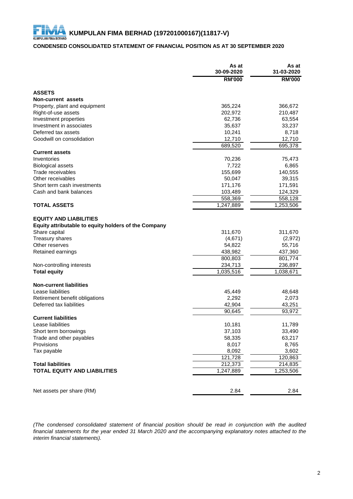# **CONDENSED CONSOLIDATED STATEMENT OF FINANCIAL POSITION AS AT 30 SEPTEMBER 2020**

|                                                                                       | As at<br>30-09-2020 | As at<br>31-03-2020 |
|---------------------------------------------------------------------------------------|---------------------|---------------------|
|                                                                                       | <b>RM'000</b>       | <b>RM'000</b>       |
| <b>ASSETS</b>                                                                         |                     |                     |
| <b>Non-current assets</b>                                                             |                     |                     |
| Property, plant and equipment                                                         | 365,224             | 366,672             |
| Right-of-use assets                                                                   | 202,972             | 210,487             |
| Investment properties                                                                 | 62,736              | 63,554              |
| Investment in associates                                                              | 35,637              | 33,237              |
| Deferred tax assets                                                                   | 10,241              | 8,718               |
| Goodwill on consolidation                                                             | 12,710              | 12,710              |
|                                                                                       | 689,520             | 695,378             |
| <b>Current assets</b>                                                                 |                     |                     |
| Inventories                                                                           | 70,236              | 75,473              |
| <b>Biological assets</b>                                                              | 7,722               | 6,865               |
| Trade receivables                                                                     | 155,699             | 140,555             |
| Other receivables                                                                     | 50,047              | 39,315              |
| Short term cash investments                                                           | 171,176             | 171,591             |
| Cash and bank balances                                                                | 103,489             | 124,329             |
|                                                                                       | 558,369             | 558,128             |
| <b>TOTAL ASSETS</b>                                                                   | 1,247,889           | 1,253,506           |
| <b>EQUITY AND LIABILITIES</b><br>Equity attributable to equity holders of the Company |                     |                     |
| Share capital                                                                         | 311,670             | 311,670             |
| <b>Treasury shares</b>                                                                | (4,671)             | (2, 972)            |
| Other reserves                                                                        | 54,822              | 55,716              |
| Retained earnings                                                                     | 438,982             | 437,360             |
|                                                                                       | 800,803             | 801,774             |
| Non-controlling interests                                                             | 234,713             | 236,897             |
| <b>Total equity</b>                                                                   | 1,035,516           | 1,038,671           |
| <b>Non-current liabilities</b>                                                        |                     |                     |
| Lease liabilities                                                                     | 45,449              | 48,648              |
| Retirement benefit obligations                                                        | 2,292               | 2,073               |
| Deferred tax liabilities                                                              | 42,904              | 43,251              |
|                                                                                       | 90,645              | 93,972              |
| <b>Current liabilities</b>                                                            |                     |                     |
| Lease liabilities                                                                     | 10.181              | 11,789              |
| Short term borrowings                                                                 | 37,103              | 33,490              |
| Trade and other payables                                                              | 58,335              | 63,217              |
| Provisions                                                                            | 8,017               | 8,765               |
| Tax payable                                                                           | 8,092               | 3,602               |
|                                                                                       | 121,728             | 120,863             |
| <b>Total liabilities</b>                                                              | 212,373             | 214,835             |
| <b>TOTAL EQUITY AND LIABILITIES</b>                                                   | 1,247,889           | 1,253,506           |
| Net assets per share (RM)                                                             | 2.84                | 2.84                |

*(The condensed consolidated statement of financial position should be read in conjunction with the audited* financial statements for the year ended 31 March 2020 and the accompanying explanatory notes attached to the *interim financial statements).*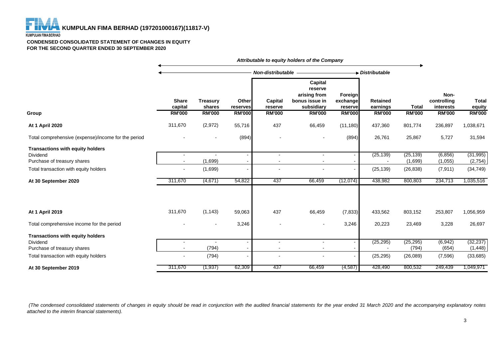

#### **CONDENSED CONSOLIDATED STATEMENT OF CHANGES IN EQUITY FOR THE SECOND QUARTER ENDED 30 SEPTEMBER 2020**

|                                                                                    | Attributable to equity holders of the Company |                           |                   |                                            |                                                                    |                                |                             |                      |                                  |                        |
|------------------------------------------------------------------------------------|-----------------------------------------------|---------------------------|-------------------|--------------------------------------------|--------------------------------------------------------------------|--------------------------------|-----------------------------|----------------------|----------------------------------|------------------------|
|                                                                                    |                                               |                           |                   | <b>Non-distributable</b>                   |                                                                    |                                | Distributable               |                      |                                  |                        |
|                                                                                    | <b>Share</b><br>capital                       | <b>Treasury</b><br>shares | Other<br>reserves | Capital<br>reserve                         | Capital<br>reserve<br>arising from<br>bonus issue in<br>subsidiary | Foreign<br>exchange<br>reserve | <b>Retained</b><br>earnings | <b>Total</b>         | Non-<br>controlling<br>interests | <b>Total</b><br>equity |
| Group                                                                              | <b>RM'000</b>                                 | <b>RM'000</b>             | <b>RM'000</b>     | <b>RM'000</b>                              | <b>RM'000</b>                                                      | <b>RM'000</b>                  | <b>RM'000</b>               | <b>RM'000</b>        | <b>RM'000</b>                    | <b>RM'000</b>          |
| <b>At 1 April 2020</b>                                                             | 311,670                                       | (2,972)                   | 55,716            | 437                                        | 66,459                                                             | (11, 180)                      | 437,360                     | 801,774              | 236,897                          | 1,038,671              |
| Total comprehensive (expense)/income for the period                                |                                               |                           | (894)             |                                            | $\overline{\phantom{a}}$                                           | (894)                          | 26,761                      | 25,867               | 5,727                            | 31,594                 |
| <b>Transactions with equity holders</b><br>Dividend<br>Purchase of treasury shares |                                               | (1,699)                   |                   |                                            | $\sim$                                                             |                                | (25, 139)                   | (25, 139)<br>(1,699) | (6, 856)<br>(1,055)              | (31, 995)<br>(2,754)   |
| Total transaction with equity holders                                              | $\blacksquare$                                | (1,699)                   |                   |                                            | $\overline{\phantom{a}}$                                           |                                | (25, 139)                   | (26, 838)            | (7, 911)                         | (34, 749)              |
| At 30 September 2020                                                               | 311,670                                       | (4,671)                   | 54,822            | 437                                        | 66,459                                                             | (12,074)                       | 438,982                     | 800,803              | 234,713                          | 1,035,516              |
| At 1 April 2019                                                                    | 311,670                                       | (1, 143)                  | 59,063            | 437                                        | 66,459                                                             | (7, 833)                       | 433,562                     | 803,152              | 253,807                          | 1,056,959              |
| Total comprehensive income for the period                                          |                                               |                           | 3,246             |                                            |                                                                    | 3,246                          | 20,223                      | 23,469               | 3,228                            | 26,697                 |
| Transactions with equity holders<br>Dividend<br>Purchase of treasury shares        | $\overline{a}$                                | (794)                     |                   | $\overline{\phantom{a}}$<br>$\blacksquare$ | $\blacksquare$<br>$\blacksquare$                                   |                                | (25, 295)                   | (25, 295)<br>(794)   | (6, 942)<br>(654)                | (32, 237)<br>(1, 448)  |
| Total transaction with equity holders                                              |                                               | (794)                     |                   |                                            |                                                                    |                                | (25, 295)                   | (26,089)             | (7,596)                          | (33,685)               |
| At 30 September 2019                                                               | 311,670                                       | (1, 937)                  | 62,309            | 437                                        | 66,459                                                             | (4, 587)                       | 428,490                     | 800,532              | 249,439                          | 1,049,971              |

(The condensed consolidated statements of changes in equity should be read in conjunction with the audited financial statements for the year ended 31 March 2020 and the accompanying explanatory notes *attached to the interim financial statements).*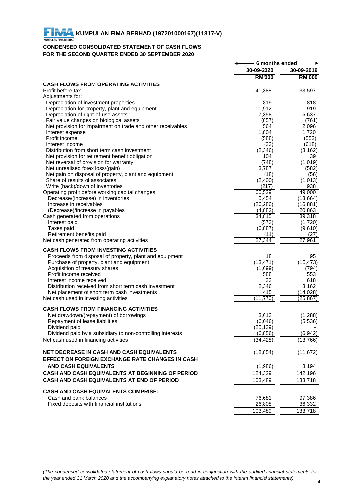# **CONDENSED CONSOLIDATED STATEMENT OF CASH FLOWS FOR THE SECOND QUARTER ENDED 30 SEPTEMBER 2020**

| 30-09-2020<br>30-09-2019<br><b>RM'000</b><br><b>RM'000</b><br><b>CASH FLOWS FROM OPERATING ACTIVITIES</b><br>Profit before tax<br>33,597<br>41,388<br>Adjustments for:<br>Depreciation of investment properties<br>819<br>818<br>Depreciation for property, plant and equipment<br>11,912<br>11,919<br>Depreciation of right-of-use assets<br>7,358<br>5,637<br>Fair value changes on biological assets<br>(857)<br>(761)<br>Net provision for impairment on trade and other receivables<br>564<br>2,096<br>Interest expense<br>1,804<br>1,720<br>Profit income<br>(553)<br>(588)<br>Interest income<br>(618)<br>(33)<br>Distribution from short term cash investment<br>(2,346)<br>(3, 162)<br>Net provision for retirement benefit obligation<br>104<br>39<br>Net reversal of provision for warranty<br>(748)<br>(1,019)<br>Net unrealised forex loss/(gain)<br>3,787<br>(582)<br>Net gain on disposal of property, plant and equipment<br>(18)<br>(56)<br>Share of results of associates<br>(2,400)<br>(1,013)<br>Write (back)/down of inventories<br>(217)<br>938<br>49,000<br>Operating profit before working capital changes<br>60,529<br>5,454<br>(13, 664)<br>Decrease/(increase) in inventories<br>Increase in receivables<br>(26, 286)<br>(16, 881)<br>(Decrease)/increase in payables<br>(4,882)<br>20,863<br>39,318<br>Cash generated from operations<br>34,815<br>Interest paid<br>(573)<br>(1,720)<br>Taxes paid<br>(6,887)<br>(9,610)<br>Retirement benefits paid<br>(27)<br>(11)<br>27,344<br>27,961<br>Net cash generated from operating activities<br><b>CASH FLOWS FROM INVESTING ACTIVITIES</b><br>Proceeds from disposal of property, plant and equipment<br>18<br>95<br>(13, 471)<br>(15, 473)<br>Purchase of property, plant and equipment<br>Acquisition of treasury shares<br>(1,699)<br>(794)<br>Profit income received<br>588<br>553<br>33<br>Interest income received<br>618<br>Distribution received from short term cash investment<br>2,346<br>3,162<br>Net placement of short term cash investments<br>(14, 028)<br>415<br>(11, 770)<br>(25, 867)<br>Net cash used in investing activities<br><b>CASH FLOWS FROM FINANCING ACTIVITIES</b><br>Net drawdown/(repayment) of borrowings<br>3,613<br>(1,288)<br>Repayment of lease liabilities<br>(6,046)<br>(5,536)<br>(25, 139)<br>Dividend paid<br>(6, 856)<br>Dividend paid by a subsidiary to non-controlling interests<br>(6, 942)<br>Net cash used in financing activities<br>(34, 428)<br>(13,766)<br>NET DECREASE IN CASH AND CASH EQUIVALENTS<br>(18, 854)<br>(11, 672)<br>EFFECT ON FOREIGN EXCHANGE RATE CHANGES IN CASH<br><b>AND CASH EQUIVALENTS</b><br>(1,986)<br>3,194<br>CASH AND CASH EQUIVALENTS AT BEGINNING OF PERIOD<br>124,329<br>142,196<br>CASH AND CASH EQUIVALENTS AT END OF PERIOD<br>133,718<br>103,489<br><b>CASH AND CASH EQUIVALENTS COMPRISE:</b><br>Cash and bank balances<br>76,681<br>97,386<br>26,808<br>Fixed deposits with financial institutions<br>36,332<br>103,489<br>133,718 | 6 months ended |  |
|------------------------------------------------------------------------------------------------------------------------------------------------------------------------------------------------------------------------------------------------------------------------------------------------------------------------------------------------------------------------------------------------------------------------------------------------------------------------------------------------------------------------------------------------------------------------------------------------------------------------------------------------------------------------------------------------------------------------------------------------------------------------------------------------------------------------------------------------------------------------------------------------------------------------------------------------------------------------------------------------------------------------------------------------------------------------------------------------------------------------------------------------------------------------------------------------------------------------------------------------------------------------------------------------------------------------------------------------------------------------------------------------------------------------------------------------------------------------------------------------------------------------------------------------------------------------------------------------------------------------------------------------------------------------------------------------------------------------------------------------------------------------------------------------------------------------------------------------------------------------------------------------------------------------------------------------------------------------------------------------------------------------------------------------------------------------------------------------------------------------------------------------------------------------------------------------------------------------------------------------------------------------------------------------------------------------------------------------------------------------------------------------------------------------------------------------------------------------------------------------------------------------------------------------------------------------------------------------------------------------------------------------------------------------------------------------------------------------------------------------------------------------------------------------------------------------------------------------------------------------------------------------------------------------------------------------------------------------------------------------------|----------------|--|
|                                                                                                                                                                                                                                                                                                                                                                                                                                                                                                                                                                                                                                                                                                                                                                                                                                                                                                                                                                                                                                                                                                                                                                                                                                                                                                                                                                                                                                                                                                                                                                                                                                                                                                                                                                                                                                                                                                                                                                                                                                                                                                                                                                                                                                                                                                                                                                                                                                                                                                                                                                                                                                                                                                                                                                                                                                                                                                                                                                                                      |                |  |
|                                                                                                                                                                                                                                                                                                                                                                                                                                                                                                                                                                                                                                                                                                                                                                                                                                                                                                                                                                                                                                                                                                                                                                                                                                                                                                                                                                                                                                                                                                                                                                                                                                                                                                                                                                                                                                                                                                                                                                                                                                                                                                                                                                                                                                                                                                                                                                                                                                                                                                                                                                                                                                                                                                                                                                                                                                                                                                                                                                                                      |                |  |
|                                                                                                                                                                                                                                                                                                                                                                                                                                                                                                                                                                                                                                                                                                                                                                                                                                                                                                                                                                                                                                                                                                                                                                                                                                                                                                                                                                                                                                                                                                                                                                                                                                                                                                                                                                                                                                                                                                                                                                                                                                                                                                                                                                                                                                                                                                                                                                                                                                                                                                                                                                                                                                                                                                                                                                                                                                                                                                                                                                                                      |                |  |
|                                                                                                                                                                                                                                                                                                                                                                                                                                                                                                                                                                                                                                                                                                                                                                                                                                                                                                                                                                                                                                                                                                                                                                                                                                                                                                                                                                                                                                                                                                                                                                                                                                                                                                                                                                                                                                                                                                                                                                                                                                                                                                                                                                                                                                                                                                                                                                                                                                                                                                                                                                                                                                                                                                                                                                                                                                                                                                                                                                                                      |                |  |
|                                                                                                                                                                                                                                                                                                                                                                                                                                                                                                                                                                                                                                                                                                                                                                                                                                                                                                                                                                                                                                                                                                                                                                                                                                                                                                                                                                                                                                                                                                                                                                                                                                                                                                                                                                                                                                                                                                                                                                                                                                                                                                                                                                                                                                                                                                                                                                                                                                                                                                                                                                                                                                                                                                                                                                                                                                                                                                                                                                                                      |                |  |
|                                                                                                                                                                                                                                                                                                                                                                                                                                                                                                                                                                                                                                                                                                                                                                                                                                                                                                                                                                                                                                                                                                                                                                                                                                                                                                                                                                                                                                                                                                                                                                                                                                                                                                                                                                                                                                                                                                                                                                                                                                                                                                                                                                                                                                                                                                                                                                                                                                                                                                                                                                                                                                                                                                                                                                                                                                                                                                                                                                                                      |                |  |
|                                                                                                                                                                                                                                                                                                                                                                                                                                                                                                                                                                                                                                                                                                                                                                                                                                                                                                                                                                                                                                                                                                                                                                                                                                                                                                                                                                                                                                                                                                                                                                                                                                                                                                                                                                                                                                                                                                                                                                                                                                                                                                                                                                                                                                                                                                                                                                                                                                                                                                                                                                                                                                                                                                                                                                                                                                                                                                                                                                                                      |                |  |
|                                                                                                                                                                                                                                                                                                                                                                                                                                                                                                                                                                                                                                                                                                                                                                                                                                                                                                                                                                                                                                                                                                                                                                                                                                                                                                                                                                                                                                                                                                                                                                                                                                                                                                                                                                                                                                                                                                                                                                                                                                                                                                                                                                                                                                                                                                                                                                                                                                                                                                                                                                                                                                                                                                                                                                                                                                                                                                                                                                                                      |                |  |
|                                                                                                                                                                                                                                                                                                                                                                                                                                                                                                                                                                                                                                                                                                                                                                                                                                                                                                                                                                                                                                                                                                                                                                                                                                                                                                                                                                                                                                                                                                                                                                                                                                                                                                                                                                                                                                                                                                                                                                                                                                                                                                                                                                                                                                                                                                                                                                                                                                                                                                                                                                                                                                                                                                                                                                                                                                                                                                                                                                                                      |                |  |
|                                                                                                                                                                                                                                                                                                                                                                                                                                                                                                                                                                                                                                                                                                                                                                                                                                                                                                                                                                                                                                                                                                                                                                                                                                                                                                                                                                                                                                                                                                                                                                                                                                                                                                                                                                                                                                                                                                                                                                                                                                                                                                                                                                                                                                                                                                                                                                                                                                                                                                                                                                                                                                                                                                                                                                                                                                                                                                                                                                                                      |                |  |
|                                                                                                                                                                                                                                                                                                                                                                                                                                                                                                                                                                                                                                                                                                                                                                                                                                                                                                                                                                                                                                                                                                                                                                                                                                                                                                                                                                                                                                                                                                                                                                                                                                                                                                                                                                                                                                                                                                                                                                                                                                                                                                                                                                                                                                                                                                                                                                                                                                                                                                                                                                                                                                                                                                                                                                                                                                                                                                                                                                                                      |                |  |
|                                                                                                                                                                                                                                                                                                                                                                                                                                                                                                                                                                                                                                                                                                                                                                                                                                                                                                                                                                                                                                                                                                                                                                                                                                                                                                                                                                                                                                                                                                                                                                                                                                                                                                                                                                                                                                                                                                                                                                                                                                                                                                                                                                                                                                                                                                                                                                                                                                                                                                                                                                                                                                                                                                                                                                                                                                                                                                                                                                                                      |                |  |
|                                                                                                                                                                                                                                                                                                                                                                                                                                                                                                                                                                                                                                                                                                                                                                                                                                                                                                                                                                                                                                                                                                                                                                                                                                                                                                                                                                                                                                                                                                                                                                                                                                                                                                                                                                                                                                                                                                                                                                                                                                                                                                                                                                                                                                                                                                                                                                                                                                                                                                                                                                                                                                                                                                                                                                                                                                                                                                                                                                                                      |                |  |
|                                                                                                                                                                                                                                                                                                                                                                                                                                                                                                                                                                                                                                                                                                                                                                                                                                                                                                                                                                                                                                                                                                                                                                                                                                                                                                                                                                                                                                                                                                                                                                                                                                                                                                                                                                                                                                                                                                                                                                                                                                                                                                                                                                                                                                                                                                                                                                                                                                                                                                                                                                                                                                                                                                                                                                                                                                                                                                                                                                                                      |                |  |
|                                                                                                                                                                                                                                                                                                                                                                                                                                                                                                                                                                                                                                                                                                                                                                                                                                                                                                                                                                                                                                                                                                                                                                                                                                                                                                                                                                                                                                                                                                                                                                                                                                                                                                                                                                                                                                                                                                                                                                                                                                                                                                                                                                                                                                                                                                                                                                                                                                                                                                                                                                                                                                                                                                                                                                                                                                                                                                                                                                                                      |                |  |
|                                                                                                                                                                                                                                                                                                                                                                                                                                                                                                                                                                                                                                                                                                                                                                                                                                                                                                                                                                                                                                                                                                                                                                                                                                                                                                                                                                                                                                                                                                                                                                                                                                                                                                                                                                                                                                                                                                                                                                                                                                                                                                                                                                                                                                                                                                                                                                                                                                                                                                                                                                                                                                                                                                                                                                                                                                                                                                                                                                                                      |                |  |
|                                                                                                                                                                                                                                                                                                                                                                                                                                                                                                                                                                                                                                                                                                                                                                                                                                                                                                                                                                                                                                                                                                                                                                                                                                                                                                                                                                                                                                                                                                                                                                                                                                                                                                                                                                                                                                                                                                                                                                                                                                                                                                                                                                                                                                                                                                                                                                                                                                                                                                                                                                                                                                                                                                                                                                                                                                                                                                                                                                                                      |                |  |
|                                                                                                                                                                                                                                                                                                                                                                                                                                                                                                                                                                                                                                                                                                                                                                                                                                                                                                                                                                                                                                                                                                                                                                                                                                                                                                                                                                                                                                                                                                                                                                                                                                                                                                                                                                                                                                                                                                                                                                                                                                                                                                                                                                                                                                                                                                                                                                                                                                                                                                                                                                                                                                                                                                                                                                                                                                                                                                                                                                                                      |                |  |
|                                                                                                                                                                                                                                                                                                                                                                                                                                                                                                                                                                                                                                                                                                                                                                                                                                                                                                                                                                                                                                                                                                                                                                                                                                                                                                                                                                                                                                                                                                                                                                                                                                                                                                                                                                                                                                                                                                                                                                                                                                                                                                                                                                                                                                                                                                                                                                                                                                                                                                                                                                                                                                                                                                                                                                                                                                                                                                                                                                                                      |                |  |
|                                                                                                                                                                                                                                                                                                                                                                                                                                                                                                                                                                                                                                                                                                                                                                                                                                                                                                                                                                                                                                                                                                                                                                                                                                                                                                                                                                                                                                                                                                                                                                                                                                                                                                                                                                                                                                                                                                                                                                                                                                                                                                                                                                                                                                                                                                                                                                                                                                                                                                                                                                                                                                                                                                                                                                                                                                                                                                                                                                                                      |                |  |
|                                                                                                                                                                                                                                                                                                                                                                                                                                                                                                                                                                                                                                                                                                                                                                                                                                                                                                                                                                                                                                                                                                                                                                                                                                                                                                                                                                                                                                                                                                                                                                                                                                                                                                                                                                                                                                                                                                                                                                                                                                                                                                                                                                                                                                                                                                                                                                                                                                                                                                                                                                                                                                                                                                                                                                                                                                                                                                                                                                                                      |                |  |
|                                                                                                                                                                                                                                                                                                                                                                                                                                                                                                                                                                                                                                                                                                                                                                                                                                                                                                                                                                                                                                                                                                                                                                                                                                                                                                                                                                                                                                                                                                                                                                                                                                                                                                                                                                                                                                                                                                                                                                                                                                                                                                                                                                                                                                                                                                                                                                                                                                                                                                                                                                                                                                                                                                                                                                                                                                                                                                                                                                                                      |                |  |
|                                                                                                                                                                                                                                                                                                                                                                                                                                                                                                                                                                                                                                                                                                                                                                                                                                                                                                                                                                                                                                                                                                                                                                                                                                                                                                                                                                                                                                                                                                                                                                                                                                                                                                                                                                                                                                                                                                                                                                                                                                                                                                                                                                                                                                                                                                                                                                                                                                                                                                                                                                                                                                                                                                                                                                                                                                                                                                                                                                                                      |                |  |
|                                                                                                                                                                                                                                                                                                                                                                                                                                                                                                                                                                                                                                                                                                                                                                                                                                                                                                                                                                                                                                                                                                                                                                                                                                                                                                                                                                                                                                                                                                                                                                                                                                                                                                                                                                                                                                                                                                                                                                                                                                                                                                                                                                                                                                                                                                                                                                                                                                                                                                                                                                                                                                                                                                                                                                                                                                                                                                                                                                                                      |                |  |
|                                                                                                                                                                                                                                                                                                                                                                                                                                                                                                                                                                                                                                                                                                                                                                                                                                                                                                                                                                                                                                                                                                                                                                                                                                                                                                                                                                                                                                                                                                                                                                                                                                                                                                                                                                                                                                                                                                                                                                                                                                                                                                                                                                                                                                                                                                                                                                                                                                                                                                                                                                                                                                                                                                                                                                                                                                                                                                                                                                                                      |                |  |
|                                                                                                                                                                                                                                                                                                                                                                                                                                                                                                                                                                                                                                                                                                                                                                                                                                                                                                                                                                                                                                                                                                                                                                                                                                                                                                                                                                                                                                                                                                                                                                                                                                                                                                                                                                                                                                                                                                                                                                                                                                                                                                                                                                                                                                                                                                                                                                                                                                                                                                                                                                                                                                                                                                                                                                                                                                                                                                                                                                                                      |                |  |
|                                                                                                                                                                                                                                                                                                                                                                                                                                                                                                                                                                                                                                                                                                                                                                                                                                                                                                                                                                                                                                                                                                                                                                                                                                                                                                                                                                                                                                                                                                                                                                                                                                                                                                                                                                                                                                                                                                                                                                                                                                                                                                                                                                                                                                                                                                                                                                                                                                                                                                                                                                                                                                                                                                                                                                                                                                                                                                                                                                                                      |                |  |
|                                                                                                                                                                                                                                                                                                                                                                                                                                                                                                                                                                                                                                                                                                                                                                                                                                                                                                                                                                                                                                                                                                                                                                                                                                                                                                                                                                                                                                                                                                                                                                                                                                                                                                                                                                                                                                                                                                                                                                                                                                                                                                                                                                                                                                                                                                                                                                                                                                                                                                                                                                                                                                                                                                                                                                                                                                                                                                                                                                                                      |                |  |
|                                                                                                                                                                                                                                                                                                                                                                                                                                                                                                                                                                                                                                                                                                                                                                                                                                                                                                                                                                                                                                                                                                                                                                                                                                                                                                                                                                                                                                                                                                                                                                                                                                                                                                                                                                                                                                                                                                                                                                                                                                                                                                                                                                                                                                                                                                                                                                                                                                                                                                                                                                                                                                                                                                                                                                                                                                                                                                                                                                                                      |                |  |
|                                                                                                                                                                                                                                                                                                                                                                                                                                                                                                                                                                                                                                                                                                                                                                                                                                                                                                                                                                                                                                                                                                                                                                                                                                                                                                                                                                                                                                                                                                                                                                                                                                                                                                                                                                                                                                                                                                                                                                                                                                                                                                                                                                                                                                                                                                                                                                                                                                                                                                                                                                                                                                                                                                                                                                                                                                                                                                                                                                                                      |                |  |
|                                                                                                                                                                                                                                                                                                                                                                                                                                                                                                                                                                                                                                                                                                                                                                                                                                                                                                                                                                                                                                                                                                                                                                                                                                                                                                                                                                                                                                                                                                                                                                                                                                                                                                                                                                                                                                                                                                                                                                                                                                                                                                                                                                                                                                                                                                                                                                                                                                                                                                                                                                                                                                                                                                                                                                                                                                                                                                                                                                                                      |                |  |
|                                                                                                                                                                                                                                                                                                                                                                                                                                                                                                                                                                                                                                                                                                                                                                                                                                                                                                                                                                                                                                                                                                                                                                                                                                                                                                                                                                                                                                                                                                                                                                                                                                                                                                                                                                                                                                                                                                                                                                                                                                                                                                                                                                                                                                                                                                                                                                                                                                                                                                                                                                                                                                                                                                                                                                                                                                                                                                                                                                                                      |                |  |
|                                                                                                                                                                                                                                                                                                                                                                                                                                                                                                                                                                                                                                                                                                                                                                                                                                                                                                                                                                                                                                                                                                                                                                                                                                                                                                                                                                                                                                                                                                                                                                                                                                                                                                                                                                                                                                                                                                                                                                                                                                                                                                                                                                                                                                                                                                                                                                                                                                                                                                                                                                                                                                                                                                                                                                                                                                                                                                                                                                                                      |                |  |
|                                                                                                                                                                                                                                                                                                                                                                                                                                                                                                                                                                                                                                                                                                                                                                                                                                                                                                                                                                                                                                                                                                                                                                                                                                                                                                                                                                                                                                                                                                                                                                                                                                                                                                                                                                                                                                                                                                                                                                                                                                                                                                                                                                                                                                                                                                                                                                                                                                                                                                                                                                                                                                                                                                                                                                                                                                                                                                                                                                                                      |                |  |
|                                                                                                                                                                                                                                                                                                                                                                                                                                                                                                                                                                                                                                                                                                                                                                                                                                                                                                                                                                                                                                                                                                                                                                                                                                                                                                                                                                                                                                                                                                                                                                                                                                                                                                                                                                                                                                                                                                                                                                                                                                                                                                                                                                                                                                                                                                                                                                                                                                                                                                                                                                                                                                                                                                                                                                                                                                                                                                                                                                                                      |                |  |
|                                                                                                                                                                                                                                                                                                                                                                                                                                                                                                                                                                                                                                                                                                                                                                                                                                                                                                                                                                                                                                                                                                                                                                                                                                                                                                                                                                                                                                                                                                                                                                                                                                                                                                                                                                                                                                                                                                                                                                                                                                                                                                                                                                                                                                                                                                                                                                                                                                                                                                                                                                                                                                                                                                                                                                                                                                                                                                                                                                                                      |                |  |
|                                                                                                                                                                                                                                                                                                                                                                                                                                                                                                                                                                                                                                                                                                                                                                                                                                                                                                                                                                                                                                                                                                                                                                                                                                                                                                                                                                                                                                                                                                                                                                                                                                                                                                                                                                                                                                                                                                                                                                                                                                                                                                                                                                                                                                                                                                                                                                                                                                                                                                                                                                                                                                                                                                                                                                                                                                                                                                                                                                                                      |                |  |
|                                                                                                                                                                                                                                                                                                                                                                                                                                                                                                                                                                                                                                                                                                                                                                                                                                                                                                                                                                                                                                                                                                                                                                                                                                                                                                                                                                                                                                                                                                                                                                                                                                                                                                                                                                                                                                                                                                                                                                                                                                                                                                                                                                                                                                                                                                                                                                                                                                                                                                                                                                                                                                                                                                                                                                                                                                                                                                                                                                                                      |                |  |
|                                                                                                                                                                                                                                                                                                                                                                                                                                                                                                                                                                                                                                                                                                                                                                                                                                                                                                                                                                                                                                                                                                                                                                                                                                                                                                                                                                                                                                                                                                                                                                                                                                                                                                                                                                                                                                                                                                                                                                                                                                                                                                                                                                                                                                                                                                                                                                                                                                                                                                                                                                                                                                                                                                                                                                                                                                                                                                                                                                                                      |                |  |
|                                                                                                                                                                                                                                                                                                                                                                                                                                                                                                                                                                                                                                                                                                                                                                                                                                                                                                                                                                                                                                                                                                                                                                                                                                                                                                                                                                                                                                                                                                                                                                                                                                                                                                                                                                                                                                                                                                                                                                                                                                                                                                                                                                                                                                                                                                                                                                                                                                                                                                                                                                                                                                                                                                                                                                                                                                                                                                                                                                                                      |                |  |
|                                                                                                                                                                                                                                                                                                                                                                                                                                                                                                                                                                                                                                                                                                                                                                                                                                                                                                                                                                                                                                                                                                                                                                                                                                                                                                                                                                                                                                                                                                                                                                                                                                                                                                                                                                                                                                                                                                                                                                                                                                                                                                                                                                                                                                                                                                                                                                                                                                                                                                                                                                                                                                                                                                                                                                                                                                                                                                                                                                                                      |                |  |
|                                                                                                                                                                                                                                                                                                                                                                                                                                                                                                                                                                                                                                                                                                                                                                                                                                                                                                                                                                                                                                                                                                                                                                                                                                                                                                                                                                                                                                                                                                                                                                                                                                                                                                                                                                                                                                                                                                                                                                                                                                                                                                                                                                                                                                                                                                                                                                                                                                                                                                                                                                                                                                                                                                                                                                                                                                                                                                                                                                                                      |                |  |
|                                                                                                                                                                                                                                                                                                                                                                                                                                                                                                                                                                                                                                                                                                                                                                                                                                                                                                                                                                                                                                                                                                                                                                                                                                                                                                                                                                                                                                                                                                                                                                                                                                                                                                                                                                                                                                                                                                                                                                                                                                                                                                                                                                                                                                                                                                                                                                                                                                                                                                                                                                                                                                                                                                                                                                                                                                                                                                                                                                                                      |                |  |
|                                                                                                                                                                                                                                                                                                                                                                                                                                                                                                                                                                                                                                                                                                                                                                                                                                                                                                                                                                                                                                                                                                                                                                                                                                                                                                                                                                                                                                                                                                                                                                                                                                                                                                                                                                                                                                                                                                                                                                                                                                                                                                                                                                                                                                                                                                                                                                                                                                                                                                                                                                                                                                                                                                                                                                                                                                                                                                                                                                                                      |                |  |
|                                                                                                                                                                                                                                                                                                                                                                                                                                                                                                                                                                                                                                                                                                                                                                                                                                                                                                                                                                                                                                                                                                                                                                                                                                                                                                                                                                                                                                                                                                                                                                                                                                                                                                                                                                                                                                                                                                                                                                                                                                                                                                                                                                                                                                                                                                                                                                                                                                                                                                                                                                                                                                                                                                                                                                                                                                                                                                                                                                                                      |                |  |
|                                                                                                                                                                                                                                                                                                                                                                                                                                                                                                                                                                                                                                                                                                                                                                                                                                                                                                                                                                                                                                                                                                                                                                                                                                                                                                                                                                                                                                                                                                                                                                                                                                                                                                                                                                                                                                                                                                                                                                                                                                                                                                                                                                                                                                                                                                                                                                                                                                                                                                                                                                                                                                                                                                                                                                                                                                                                                                                                                                                                      |                |  |
|                                                                                                                                                                                                                                                                                                                                                                                                                                                                                                                                                                                                                                                                                                                                                                                                                                                                                                                                                                                                                                                                                                                                                                                                                                                                                                                                                                                                                                                                                                                                                                                                                                                                                                                                                                                                                                                                                                                                                                                                                                                                                                                                                                                                                                                                                                                                                                                                                                                                                                                                                                                                                                                                                                                                                                                                                                                                                                                                                                                                      |                |  |
|                                                                                                                                                                                                                                                                                                                                                                                                                                                                                                                                                                                                                                                                                                                                                                                                                                                                                                                                                                                                                                                                                                                                                                                                                                                                                                                                                                                                                                                                                                                                                                                                                                                                                                                                                                                                                                                                                                                                                                                                                                                                                                                                                                                                                                                                                                                                                                                                                                                                                                                                                                                                                                                                                                                                                                                                                                                                                                                                                                                                      |                |  |
|                                                                                                                                                                                                                                                                                                                                                                                                                                                                                                                                                                                                                                                                                                                                                                                                                                                                                                                                                                                                                                                                                                                                                                                                                                                                                                                                                                                                                                                                                                                                                                                                                                                                                                                                                                                                                                                                                                                                                                                                                                                                                                                                                                                                                                                                                                                                                                                                                                                                                                                                                                                                                                                                                                                                                                                                                                                                                                                                                                                                      |                |  |
|                                                                                                                                                                                                                                                                                                                                                                                                                                                                                                                                                                                                                                                                                                                                                                                                                                                                                                                                                                                                                                                                                                                                                                                                                                                                                                                                                                                                                                                                                                                                                                                                                                                                                                                                                                                                                                                                                                                                                                                                                                                                                                                                                                                                                                                                                                                                                                                                                                                                                                                                                                                                                                                                                                                                                                                                                                                                                                                                                                                                      |                |  |
|                                                                                                                                                                                                                                                                                                                                                                                                                                                                                                                                                                                                                                                                                                                                                                                                                                                                                                                                                                                                                                                                                                                                                                                                                                                                                                                                                                                                                                                                                                                                                                                                                                                                                                                                                                                                                                                                                                                                                                                                                                                                                                                                                                                                                                                                                                                                                                                                                                                                                                                                                                                                                                                                                                                                                                                                                                                                                                                                                                                                      |                |  |
|                                                                                                                                                                                                                                                                                                                                                                                                                                                                                                                                                                                                                                                                                                                                                                                                                                                                                                                                                                                                                                                                                                                                                                                                                                                                                                                                                                                                                                                                                                                                                                                                                                                                                                                                                                                                                                                                                                                                                                                                                                                                                                                                                                                                                                                                                                                                                                                                                                                                                                                                                                                                                                                                                                                                                                                                                                                                                                                                                                                                      |                |  |
|                                                                                                                                                                                                                                                                                                                                                                                                                                                                                                                                                                                                                                                                                                                                                                                                                                                                                                                                                                                                                                                                                                                                                                                                                                                                                                                                                                                                                                                                                                                                                                                                                                                                                                                                                                                                                                                                                                                                                                                                                                                                                                                                                                                                                                                                                                                                                                                                                                                                                                                                                                                                                                                                                                                                                                                                                                                                                                                                                                                                      |                |  |
|                                                                                                                                                                                                                                                                                                                                                                                                                                                                                                                                                                                                                                                                                                                                                                                                                                                                                                                                                                                                                                                                                                                                                                                                                                                                                                                                                                                                                                                                                                                                                                                                                                                                                                                                                                                                                                                                                                                                                                                                                                                                                                                                                                                                                                                                                                                                                                                                                                                                                                                                                                                                                                                                                                                                                                                                                                                                                                                                                                                                      |                |  |
|                                                                                                                                                                                                                                                                                                                                                                                                                                                                                                                                                                                                                                                                                                                                                                                                                                                                                                                                                                                                                                                                                                                                                                                                                                                                                                                                                                                                                                                                                                                                                                                                                                                                                                                                                                                                                                                                                                                                                                                                                                                                                                                                                                                                                                                                                                                                                                                                                                                                                                                                                                                                                                                                                                                                                                                                                                                                                                                                                                                                      |                |  |
|                                                                                                                                                                                                                                                                                                                                                                                                                                                                                                                                                                                                                                                                                                                                                                                                                                                                                                                                                                                                                                                                                                                                                                                                                                                                                                                                                                                                                                                                                                                                                                                                                                                                                                                                                                                                                                                                                                                                                                                                                                                                                                                                                                                                                                                                                                                                                                                                                                                                                                                                                                                                                                                                                                                                                                                                                                                                                                                                                                                                      |                |  |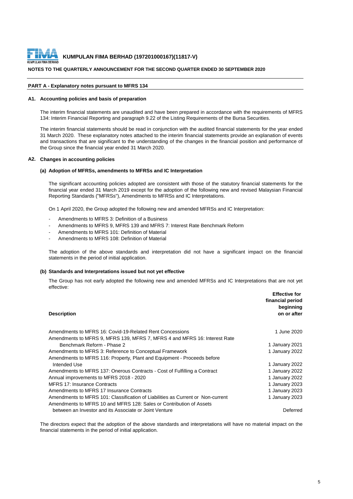

#### **NOTES TO THE QUARTERLY ANNOUNCEMENT FOR THE SECOND QUARTER ENDED 30 SEPTEMBER 2020**

#### **PART A - Explanatory notes pursuant to MFRS 134**

#### **A1. Accounting policies and basis of preparation**

The interim financial statements are unaudited and have been prepared in accordance with the requirements of MFRS 134: Interim Financial Reporting and paragraph 9.22 of the Listing Requirements of the Bursa Securities.

The interim financial statements should be read in conjunction with the audited financial statements for the year ended 31 March 2020. These explanatory notes attached to the interim financial statements provide an explanation of events and transactions that are significant to the understanding of the changes in the financial position and performance of the Group since the financial year ended 31 March 2020.

#### **A2. Changes in accounting policies**

#### **(a) Adoption of MFRSs, amendments to MFRSs and IC Interpretation**

The significant accounting policies adopted are consistent with those of the statutory financial statements for the financial year ended 31 March 2019 except for the adoption of the following new and revised Malaysian Financial Reporting Standards ("MFRSs"), Amendments to MFRSs and IC Interpretations.

On 1 April 2020, the Group adopted the following new and amended MFRSs and IC Interpretation:

- Amendments to MFRS 3: Definition of a Business
- Amendments to MFRS 9, MFRS 139 and MFRS 7: Interest Rate Benchmark Reform
- Amendments to MFRS 101: Definition of Material
- Amendments to MFRS 108: Definition of Material

The adoption of the above standards and interpretation did not have a significant impact on the financial statements in the period of initial application.

#### **(b) Standards and Interpretations issued but not yet effective**

The Group has not early adopted the following new and amended MFRSs and IC Interpretations that are not yet effective:

| <b>Description</b>                                                              | <b>Effective for</b><br>financial period<br>beginning<br>on or after |
|---------------------------------------------------------------------------------|----------------------------------------------------------------------|
| Amendments to MFRS 16: Covid-19-Related Rent Concessions                        | 1 June 2020                                                          |
| Amendments to MFRS 9, MFRS 139, MFRS 7, MFRS 4 and MFRS 16: Interest Rate       |                                                                      |
| Benchmark Reform - Phase 2                                                      | 1 January 2021                                                       |
| Amendments to MFRS 3: Reference to Conceptual Framework                         | 1 January 2022                                                       |
| Amendments to MFRS 116: Property, Plant and Equipment - Proceeds before         |                                                                      |
| Intended Use                                                                    | 1 January 2022                                                       |
| Amendments to MFRS 137: Onerous Contracts - Cost of Fulfilling a Contract       | 1 January 2022                                                       |
| Annual improvements to MFRS 2018 - 2020                                         | 1 January 2022                                                       |
| <b>MFRS 17: Insurance Contracts</b>                                             | 1 January 2023                                                       |
| Amendments to MFRS 17 Insurance Contracts                                       | 1 January 2023                                                       |
| Amendments to MFRS 101: Classification of Liabilities as Current or Non-current | 1 January 2023                                                       |
| Amendments to MFRS 10 and MFRS 128: Sales or Contribution of Assets             |                                                                      |
| between an Investor and its Associate or Joint Venture                          | Deferred                                                             |

The directors expect that the adoption of the above standards and interpretations will have no material impact on the financial statements in the period of initial application.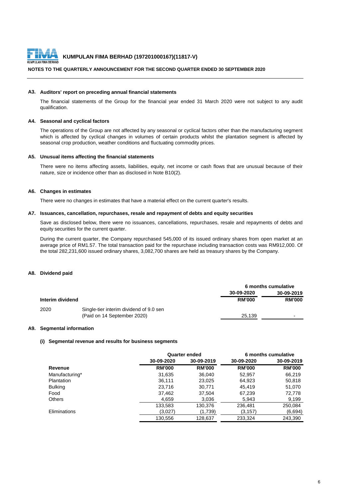

# **NOTES TO THE QUARTERLY ANNOUNCEMENT FOR THE SECOND QUARTER ENDED 30 SEPTEMBER 2020**

#### **A3. Auditors' report on preceding annual financial statements**

The financial statements of the Group for the financial year ended 31 March 2020 were not subject to any audit qualification.

#### **A4. Seasonal and cyclical factors**

The operations of the Group are not affected by any seasonal or cyclical factors other than the manufacturing segment which is affected by cyclical changes in volumes of certain products whilst the plantation segment is affected by seasonal crop production, weather conditions and fluctuating commodity prices.

#### **A5. Unusual items affecting the financial statements**

There were no items affecting assets, liabilities, equity, net income or cash flows that are unusual because of their nature, size or incidence other than as disclosed in Note B10(2).

#### **A6. Changes in estimates**

There were no changes in estimates that have a material effect on the current quarter's results.

#### **A7. Issuances, cancellation, repurchases, resale and repayment of debts and equity securities**

Save as disclosed below, there were no issuances, cancellations, repurchases, resale and repayments of debts and equity securities for the current quarter.

During the current quarter, the Company repurchased 545,000 of its issued ordinary shares from open market at an average price of RM1.57. The total transaction paid for the repurchase including transaction costs was RM912,000. Of the total 282,231,600 issued ordinary shares, 3,082,700 shares are held as treasury shares by the Company.

#### **A8. Dividend paid**

|                  |                                         | 6 months cumulative |                          |
|------------------|-----------------------------------------|---------------------|--------------------------|
|                  |                                         | 30-09-2020          | 30-09-2019               |
| Interim dividend |                                         | <b>RM'000</b>       | <b>RM'000</b>            |
| 2020             | Single-tier interim dividend of 9.0 sen |                     |                          |
|                  | (Paid on 14 September 2020)             | 25.139              | $\overline{\phantom{0}}$ |

#### **A9. Segmental information**

#### **(i) Segmental revenue and results for business segments**

|                | Quarter ended |               |               | 6 months cumulative |
|----------------|---------------|---------------|---------------|---------------------|
|                | 30-09-2020    | 30-09-2019    | 30-09-2020    | 30-09-2019          |
| Revenue        | <b>RM'000</b> | <b>RM'000</b> | <b>RM'000</b> | <b>RM'000</b>       |
| Manufacturing* | 31,635        | 36,040        | 52,957        | 66,219              |
| Plantation     | 36,111        | 23,025        | 64,923        | 50,818              |
| <b>Bulking</b> | 23,716        | 30,771        | 45,419        | 51,070              |
| Food           | 37,462        | 37,504        | 67,239        | 72,778              |
| <b>Others</b>  | 4,659         | 3,036         | 5,943         | 9,199               |
|                | 133,583       | 130,376       | 236,481       | 250,084             |
| Eliminations   | (3,027)       | (1,739)       | (3.157)       | (6,694)             |
|                | 130,556       | 128,637       | 233,324       | 243.390             |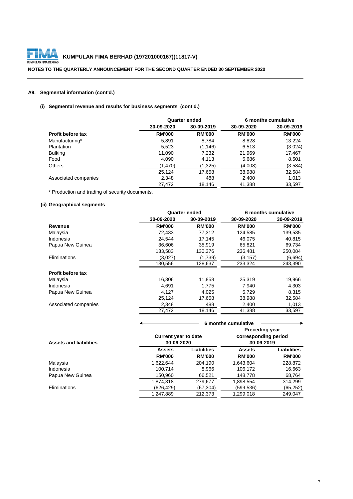

# **NOTES TO THE QUARTERLY ANNOUNCEMENT FOR THE SECOND QUARTER ENDED 30 SEPTEMBER 2020**

# **A9. Segmental information (cont'd.)**

# **(i) Segmental revenue and results for business segments (cont'd.)**

|                          |               | <b>Quarter ended</b> |               | 6 months cumulative |
|--------------------------|---------------|----------------------|---------------|---------------------|
|                          | 30-09-2020    | 30-09-2019           | 30-09-2020    | 30-09-2019          |
| <b>Profit before tax</b> | <b>RM'000</b> | <b>RM'000</b>        | <b>RM'000</b> | <b>RM'000</b>       |
| Manufacturing*           | 5,891         | 8.784                | 8,828         | 13,224              |
| Plantation               | 5,523         | (1, 146)             | 6,513         | (3,024)             |
| <b>Bulking</b>           | 11,090        | 7,232                | 21,969        | 17,467              |
| Food                     | 4,090         | 4,113                | 5,686         | 8,501               |
| <b>Others</b>            | (1.470)       | (1,325)              | (4,008)       | (3,584)             |
|                          | 25,124        | 17,658               | 38,988        | 32,584              |
| Associated companies     | 2,348         | 488                  | 2.400         | 1,013               |
|                          | 27.472        | 18.146               | 41,388        | 33.597              |

\* Production and trading of security documents.

# **(ii) Geographical segments**

|                          |               | <b>Quarter ended</b> |               | 6 months cumulative |
|--------------------------|---------------|----------------------|---------------|---------------------|
|                          | 30-09-2020    | 30-09-2019           | 30-09-2020    | 30-09-2019          |
| Revenue                  | <b>RM'000</b> | <b>RM'000</b>        | <b>RM'000</b> | <b>RM'000</b>       |
| Malaysia                 | 72,433        | 77.312               | 124,585       | 139,535             |
| Indonesia                | 24.544        | 17.145               | 46,075        | 40,815              |
| Papua New Guinea         | 36.606        | 35,919               | 65,821        | 69,734              |
|                          | 133,583       | 130,376              | 236,481       | 250,084             |
| Eliminations             | (3.027)       | (1,739)              | (3.157)       | (6,694)             |
|                          | 130,556       | 128,637              | 233,324       | 243,390             |
| <b>Profit before tax</b> |               |                      |               |                     |
| Malaysia                 | 16,306        | 11,858               | 25,319        | 19,966              |
| Indonesia                | 4,691         | 1,775                | 7,940         | 4,303               |
| Papua New Guinea         | 4,127         | 4,025                | 5,729         | 8,315               |
|                          | 25.124        | 17,658               | 38,988        | 32,584              |
| Associated companies     | 2,348         | 488                  | 2,400         | 1,013               |
|                          | 27,472        | 18,146               | 41,388        | 33,597              |

|                               |                                | 6 months cumulative                                                                                      |                                |                                     |  |  |
|-------------------------------|--------------------------------|----------------------------------------------------------------------------------------------------------|--------------------------------|-------------------------------------|--|--|
| <b>Assets and liabilities</b> |                                | <b>Preceding year</b><br>corresponding period<br><b>Current year to date</b><br>30-09-2020<br>30-09-2019 |                                |                                     |  |  |
|                               | <b>Assets</b><br><b>RM'000</b> | Liabilities<br><b>RM'000</b>                                                                             | <b>Assets</b><br><b>RM'000</b> | <b>Liabilities</b><br><b>RM'000</b> |  |  |
| Malaysia                      | 1,622,644                      | 204,190                                                                                                  | 1,643,604                      | 228,872                             |  |  |
| Indonesia                     | 100.714                        | 8.966                                                                                                    | 106.172                        | 16,663                              |  |  |
| Papua New Guinea              | 150,960                        | 66,521                                                                                                   | 148,778                        | 68,764                              |  |  |
|                               | 1,874,318                      | 279,677                                                                                                  | 1,898,554                      | 314,299                             |  |  |
| Eliminations                  | (626, 429)                     | (67,304)                                                                                                 | (599,536)                      | (65, 252)                           |  |  |
|                               | 1,247,889                      | 212,373                                                                                                  | 1,299,018                      | 249.047                             |  |  |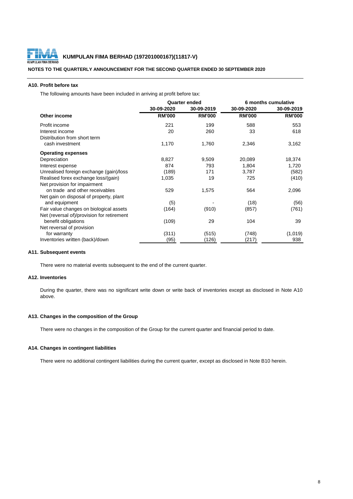

# **NOTES TO THE QUARTERLY ANNOUNCEMENT FOR THE SECOND QUARTER ENDED 30 SEPTEMBER 2020**

#### **A10. Profit before tax**

The following amounts have been included in arriving at profit before tax:

|                                            | <b>Quarter ended</b> |               | 6 months cumulative |               |
|--------------------------------------------|----------------------|---------------|---------------------|---------------|
|                                            | 30-09-2020           | 30-09-2019    | 30-09-2020          | 30-09-2019    |
| Other income                               | <b>RM'000</b>        | <b>RM'000</b> | <b>RM'000</b>       | <b>RM'000</b> |
| Profit income                              | 221                  | 199           | 588                 | 553           |
| Interest income                            | 20                   | 260           | 33                  | 618           |
| Distribution from short term               |                      |               |                     |               |
| cash investment                            | 1,170                | 1,760         | 2,346               | 3,162         |
| <b>Operating expenses</b>                  |                      |               |                     |               |
| Depreciation                               | 8,827                | 9,509         | 20,089              | 18,374        |
| Interest expense                           | 874                  | 793           | 1,804               | 1,720         |
| Unrealised foreign exchange (gain)/loss    | (189)                | 171           | 3,787               | (582)         |
| Realised forex exchange loss/(gain)        | 1,035                | 19            | 725                 | (410)         |
| Net provision for impairment               |                      |               |                     |               |
| on trade and other receivables             | 529                  | 1,575         | 564                 | 2,096         |
| Net gain on disposal of property, plant    |                      |               |                     |               |
| and equipment                              | (5)                  |               | (18)                | (56)          |
| Fair value changes on biological assets    | (164)                | (910)         | (857)               | (761)         |
| Net (reversal of)/provision for retirement |                      |               |                     |               |
| benefit obligations                        | (109)                | 29            | 104                 | 39            |
| Net reversal of provision                  |                      |               |                     |               |
| for warranty                               | (311)                | (515)         | (748)               | (1,019)       |
| Inventories written (back)/down            | (95)                 | (126)         | (217)               | 938           |

#### **A11. Subsequent events**

There were no material events subsequent to the end of the current quarter.

# **A12. Inventories**

During the quarter, there was no significant write down or write back of inventories except as disclosed in Note A10 above.

# **A13. Changes in the composition of the Group**

There were no changes in the composition of the Group for the current quarter and financial period to date.

# **A14. Changes in contingent liabilities**

There were no additional contingent liabilities during the current quarter, except as disclosed in Note B10 herein.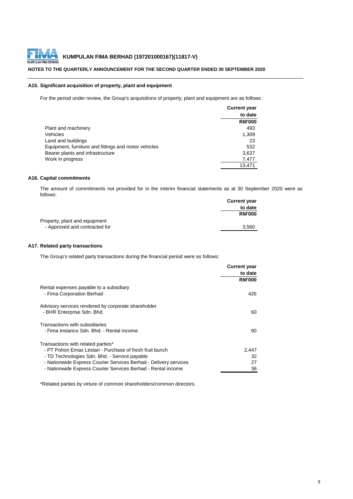

# **NOTES TO THE QUARTERLY ANNOUNCEMENT FOR THE SECOND QUARTER ENDED 30 SEPTEMBER 2020**

# **A15. Significant acquisition of property, plant and equipment**

For the period under review, the Group's acquisitions of property, plant and equipment are as follows :

|                                                      | <b>Current year</b> |
|------------------------------------------------------|---------------------|
|                                                      | to date             |
|                                                      | <b>RM'000</b>       |
| Plant and machinery                                  | 493                 |
| Vehicles                                             | 1,309               |
| Land and buildings                                   | 23                  |
| Equipment, furniture and fittings and motor vehicles | 532                 |
| Bearer plants and infrastructure                     | 3,637               |
| Work in progress                                     | 7,477               |
|                                                      | 13.471              |

# **A16. Capital commitments**

The amount of commitments not provided for in the interim financial statements as at 30 September 2020 were as follows:

|                               | <b>Current year</b> |
|-------------------------------|---------------------|
|                               | to date             |
|                               | <b>RM'000</b>       |
| Property, plant and equipment |                     |
| - Approved and contracted for | 3,560               |

# **A17. Related party transactions**

The Group's related party transactions during the financial period were as follows:

|                                                                                                                                                | <b>Current year</b> |
|------------------------------------------------------------------------------------------------------------------------------------------------|---------------------|
|                                                                                                                                                | to date             |
|                                                                                                                                                | <b>RM'000</b>       |
| Rental expenses payable to a subsidiary<br>- Fima Corporation Berhad                                                                           | 426                 |
| Advisory services rendered by corporate shareholder<br>- BHR Enterprise Sdn. Bhd.                                                              | 60                  |
| Transactions with subsidiaries<br>- Fima Instanco Sdn. Bhd. - Rental income                                                                    | 90                  |
| Transactions with related parties*<br>- PT Pohon Emas Lestari - Purchase of fresh fruit bunch<br>- TD Technologies Sdn. Bhd. - Service payable | 2,447<br>32         |
| - Nationwide Express Courier Services Berhad - Delivery services                                                                               | 27                  |
| - Nationwide Express Courier Services Berhad - Rental income                                                                                   | 36                  |

\*Related parties by virture of common shareholders/common directors.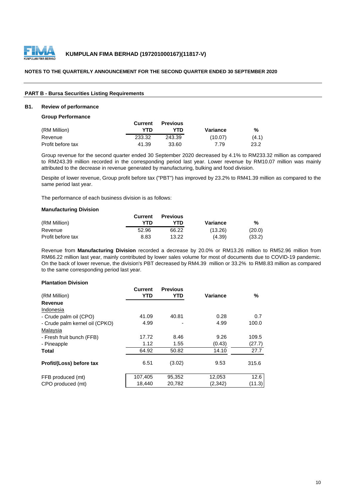

# **PART B - Bursa Securities Listing Requirements**

# **B1. Review of performance**

#### **Group Performance**

|                   | Current | <b>Previous</b> |          |       |
|-------------------|---------|-----------------|----------|-------|
| (RM Million)      | YTD     | YTD             | Variance | %     |
| Revenue           | 233.32  | 243.39          | (10.07)  | (4.1) |
| Profit before tax | 41.39   | 33.60           | 7.79     | 23.2  |

Group revenue for the second quarter ended 30 September 2020 decreased by 4.1% to RM233.32 million as compared to RM243.39 million recorded in the corresponding period last year. Lower revenue by RM10.07 million was mainly attributed to the decrease in revenue generated by manufacturing, bulking and food division.

Despite of lower revenue, Group profit before tax ("PBT") has improved by 23.2% to RM41.39 million as compared to the same period last year.

The performance of each business division is as follows:

#### **Manufacturing Division**

|                   | Current | <b>Previous</b> |          |        |
|-------------------|---------|-----------------|----------|--------|
| (RM Million)      | YTN     | YTD             | Variance | %      |
| Revenue           | 52.96   | 66.22           | (13.26)  | (20.0) |
| Profit before tax | 8.83    | 13.22           | (4.39)   | (33.2) |

Revenue from **Manufacturing Division** recorded a decrease by 20.0% or RM13.26 million to RM52.96 million from RM66.22 million last year, mainly contributed by lower sales volume for most of documents due to COVID-19 pandemic. On the back of lower revenue, the division's PBT decreased by RM4.39 million or 33.2% to RM8.83 million as compared to the same corresponding period last year.

#### **Plantation Division**

| (RM Million)                   | <b>Current</b><br>YTD | <b>Previous</b><br>YTD | Variance | %      |
|--------------------------------|-----------------------|------------------------|----------|--------|
| Revenue                        |                       |                        |          |        |
| Indonesia                      |                       |                        |          |        |
| - Crude palm oil (CPO)         | 41.09                 | 40.81                  | 0.28     | 0.7    |
| - Crude palm kernel oil (CPKO) | 4.99                  |                        | 4.99     | 100.0  |
| Malaysia                       |                       |                        |          |        |
| - Fresh fruit bunch (FFB)      | 17.72                 | 8.46                   | 9.26     | 109.5  |
| - Pineapple                    | 1.12                  | 1.55                   | (0.43)   | (27.7) |
| <b>Total</b>                   | 64.92                 | 50.82                  | 14.10    | 27.7   |
| Profit/(Loss) before tax       | 6.51                  | (3.02)                 | 9.53     | 315.6  |
| FFB produced (mt)              | 107,405               | 95.352                 | 12,053   | 12.6   |
| CPO produced (mt)              | 18,440                | 20,782                 | (2,342)  | (11.3) |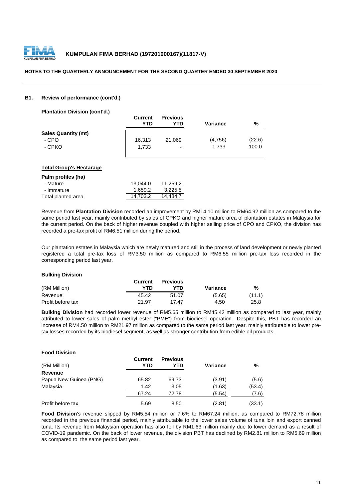

# **B1. Review of performance (cont'd.)**

**Plantation Division (cont'd.)**

|                            | <b>Current</b><br>YTD | <b>Previous</b><br>YTD | <b>Variance</b> | %      |
|----------------------------|-----------------------|------------------------|-----------------|--------|
| <b>Sales Quantity (mt)</b> |                       |                        |                 |        |
| - CPO                      | 16,313                | 21,069                 | (4,756)         | (22.6) |
| - CPKO                     | 1.733                 | ٠                      | 1.733           | 100.0  |

# **Total Group's Hectarage**

| Palm profiles (ha) |          |          |
|--------------------|----------|----------|
| - Mature           | 13.044.0 | 11.259.2 |
| - Immature         | 1.659.2  | 3,225.5  |
| Total planted area | 14.703.2 | 14.484.7 |

Revenue from **Plantation Division** recorded an improvement by RM14.10 million to RM64.92 million as compared to the same period last year, mainly contributed by sales of CPKO and higher mature area of plantation estates in Malaysia for the current period. On the back of higher revenue coupled with higher selling price of CPO and CPKO, the division has recorded a pre-tax profit of RM6.51 million during the period.

Our plantation estates in Malaysia which are newly matured and still in the process of land development or newly planted registered a total pre-tax loss of RM3.50 million as compared to RM6.55 million pre-tax loss recorded in the corresponding period last year.

# **Bulking Division**

|                   | <b>Current</b> | <b>Previous</b> |          |        |
|-------------------|----------------|-----------------|----------|--------|
| (RM Million)      | YTD            | <b>YTD</b>      | Variance | %      |
| Revenue           | 45.42          | 51.07           | (5.65)   | (11.1) |
| Profit before tax | 21.97          | 1747            | 4.50     | 25.8   |

**Bulking Division** had recorded lower revenue of RM5.65 million to RM45.42 million as compared to last year, mainly attributed to lower sales of palm methyl ester ("PME") from biodiesel operation. Despite this, PBT has recorded an increase of RM4.50 million to RM21.97 million as compared to the same period last year, mainly attributable to lower pretax losses recorded by its biodiesel segment, as well as stronger contribution from edible oil products.

| <b>Food Division</b>   |                |                        |          |        |
|------------------------|----------------|------------------------|----------|--------|
| (RM Million)           | Current<br>YTD | <b>Previous</b><br>YTD | Variance | %      |
| <b>Revenue</b>         |                |                        |          |        |
| Papua New Guinea (PNG) | 65.82          | 69.73                  | (3.91)   | (5.6)  |
| Malaysia               | 1.42           | 3.05                   | (1.63)   | (53.4) |
|                        | 67.24          | 72.78                  | (5.54)   | (7.6)  |
| Profit before tax      | 5.69           | 8.50                   | (2.81)   | (33.1) |

**Food Division**'s revenue slipped by RM5.54 million or 7.6% to RM67.24 million, as compared to RM72.78 million recorded in the previous financial period, mainly attributable to the lower sales volume of tuna loin and export canned tuna. Its revenue from Malaysian operation has also fell by RM1.63 million mainly due to lower demand as a result of COVID-19 pandemic. On the back of lower revenue, the division PBT has declined by RM2.81 million to RM5.69 million as compared to the same period last year.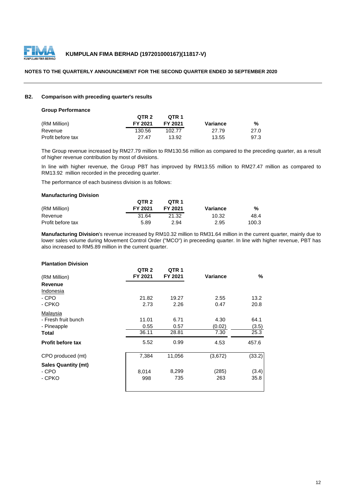

# **B2. Comparison with preceding quarter's results**

#### **Group Performance**

|                   | QTR 2   | OTR 1   |          |      |
|-------------------|---------|---------|----------|------|
| (RM Million)      | FY 2021 | FY 2021 | Variance | %    |
| Revenue           | 130.56  | 102.77  | 27.79    | 27.0 |
| Profit before tax | 27 47   | 13.92   | 13.55    | 97.3 |

The Group revenue increased by RM27.79 million to RM130.56 million as compared to the preceding quarter, as a result of higher revenue contribution by most of divisions.

In line with higher revenue, the Group PBT has improved by RM13.55 million to RM27.47 million as compared to RM13.92 million recorded in the preceding quarter.

The performance of each business division is as follows:

# **Manufacturing Division**

|                   | QTR <sub>2</sub> | OTR <sub>1</sub> |          |       |
|-------------------|------------------|------------------|----------|-------|
| (RM Million)      | FY 2021          | FY 2021          | Variance | %     |
| Revenue           | 31.64            | 21.32            | 10.32    | 48.4  |
| Profit before tax | 5.89             | 2.94             | 2.95     | 100.3 |

**Manufacturing Division**'s revenue increased by RM10.32 million to RM31.64 million in the current quarter, mainly due to lower sales volume during Movement Control Order ("MCO") in preceeding quarter. In line with higher revenue, PBT has also increased to RM5.89 million in the current quarter.

# **Plantation Division**

| (RM Million)               | QTR <sub>2</sub><br>FY 2021 | QTR <sub>1</sub><br>FY 2021 | Variance | %      |
|----------------------------|-----------------------------|-----------------------------|----------|--------|
| Revenue                    |                             |                             |          |        |
| Indonesia                  |                             |                             |          |        |
| - CPO                      | 21.82                       | 19.27                       | 2.55     | 13.2   |
| - CPKO                     | 2.73                        | 2.26                        | 0.47     | 20.8   |
| Malaysia                   |                             |                             |          |        |
| - Fresh fruit bunch        | 11.01                       | 6.71                        | 4.30     | 64.1   |
| - Pineapple                | 0.55                        | 0.57                        | (0.02)   | (3.5)  |
| Total                      | 36.11                       | 28.81                       | 7.30     | 25.3   |
| <b>Profit before tax</b>   | 5.52                        | 0.99                        | 4.53     | 457.6  |
| CPO produced (mt)          | 7,384                       | 11,056                      | (3,672)  | (33.2) |
| <b>Sales Quantity (mt)</b> |                             |                             |          |        |
| - CPO                      | 8,014                       | 8,299                       | (285)    | (3.4)  |
| - CPKO                     | 998                         | 735                         | 263      | 35.8   |
|                            |                             |                             |          |        |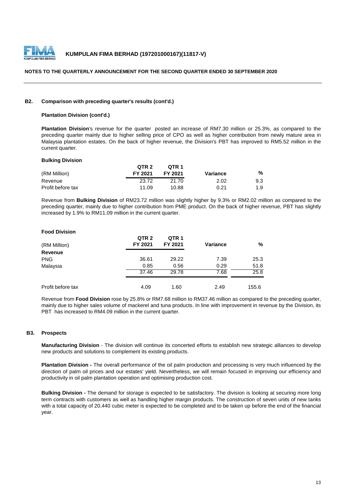

#### **B2. Comparison with preceding quarter's results (cont'd.)**

# **Plantation Division (cont'd.)**

**Plantation Division**'s revenue for the quarter posted an increase of RM7.30 million or 25.3%, as compared to the preceding quarter mainly due to higher selling price of CPO as well as higher contribution from newly mature area in Malaysia plantation estates. On the back of higher revenue, the Division's PBT has improved to RM5.52 million in the current quarter.

#### **Bulking Division**

|                   | QTR <sub>2</sub> | OTR <sub>1</sub> |          |     |
|-------------------|------------------|------------------|----------|-----|
| (RM Million)      | FY 2021          | FY 2021          | Variance | %   |
| Revenue           | 23.72            | 21.70            | 2.02     | 9.3 |
| Profit before tax | 11.09            | 10.88            | 0.21     | 1.9 |

Revenue from **Bulking Division** of RM23.72 million was slightly higher by 9.3% or RM2.02 million as compared to the preceding quarter, mainly due to higher contribution from PME product. On the back of higher revenue, PBT has slightly increased by 1.9% to RM11.09 million in the current quarter.

# **Food Division**

| (RM Million)      | QTR <sub>2</sub><br>FY 2021 | QTR <sub>1</sub><br>FY 2021 | <b>Variance</b> | %     |
|-------------------|-----------------------------|-----------------------------|-----------------|-------|
| <b>Revenue</b>    |                             |                             |                 |       |
| <b>PNG</b>        | 36.61                       | 29.22                       | 7.39            | 25.3  |
| Malaysia          | 0.85                        | 0.56                        | 0.29            | 51.8  |
|                   | 37.46                       | 29.78                       | 7.68            | 25.8  |
| Profit before tax | 4.09                        | 1.60                        | 2.49            | 155.6 |

Revenue from **Food Division** rose by 25.8% or RM7.68 million to RM37.46 million as compared to the preceding quarter, mainly due to higher sales volume of mackerel and tuna products. In line with improvement in revenue by the Division, its PBT has increased to RM4.09 million in the current quarter.

# **B3. Prospects**

**Manufacturing Division** - The division will continue its concerted efforts to establish new strategic alliances to develop new products and solutions to complement its existing products.

**Plantation Division -** The overall performance of the oil palm production and processing is very much influenced by the direction of palm oil prices and our estates' yield. Nevertheless, we will remain focused in improving our efficiency and productivity in oil palm plantation operation and optimising production cost.

**Bulking Division -** The demand for storage is expected to be satisfactory. The division is looking at securing more long term contracts with customers as well as handling higher margin products. The construction of seven units of new tanks with a total capacity of 20,440 cubic meter is expected to be completed and to be taken up before the end of the financial year.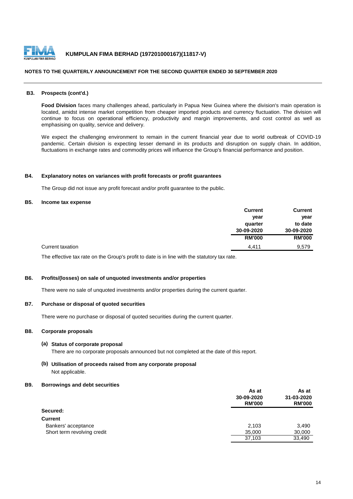

#### **B3. Prospects (cont'd.)**

**Food Division** faces many challenges ahead, particularly in Papua New Guinea where the division's main operation is located, amidst intense market competition from cheaper imported products and currency fluctuation. The division will continue to focus on operational efficiency, productivity and margin improvements, and cost control as well as emphasising on quality, service and delivery.

We expect the challenging environment to remain in the current financial year due to world outbreak of COVID-19 pandemic. Certain division is expecting lesser demand in its products and disruption on supply chain. In addition, fluctuations in exchange rates and commodity prices will influence the Group's financial performance and position.

#### **B4. Explanatory notes on variances with profit forecasts or profit guarantees**

The Group did not issue any profit forecast and/or profit guarantee to the public.

# **B5. Income tax expense**

|                  | <b>Current</b> | <b>Current</b> |
|------------------|----------------|----------------|
|                  | year           | year           |
|                  | quarter        | to date        |
|                  | 30-09-2020     | 30-09-2020     |
|                  | <b>RM'000</b>  | <b>RM'000</b>  |
| Current taxation | 4.411          | 9,579          |

The effective tax rate on the Group's profit to date is in line with the statutory tax rate.

# **B6. Profits/(losses) on sale of unquoted investments and/or properties**

There were no sale of unquoted investments and/or properties during the current quarter.

#### **B7. Purchase or disposal of quoted securities**

There were no purchase or disposal of quoted securities during the current quarter.

# **B8. Corporate proposals**

#### **(a) Status of corporate proposal**

There are no corporate proposals announced but not completed at the date of this report.

# **(b) Utilisation of proceeds raised from any corporate proposal** Not applicable.

#### **B9. Borrowings and debt securities**

|                             | As at<br>30-09-2020<br><b>RM'000</b> | As at<br>31-03-2020<br><b>RM'000</b> |
|-----------------------------|--------------------------------------|--------------------------------------|
| Secured:                    |                                      |                                      |
| <b>Current</b>              |                                      |                                      |
| Bankers' acceptance         | 2.103                                | 3,490                                |
| Short term revolving credit | 35,000                               | 30,000                               |
|                             | 37,103                               | 33,490                               |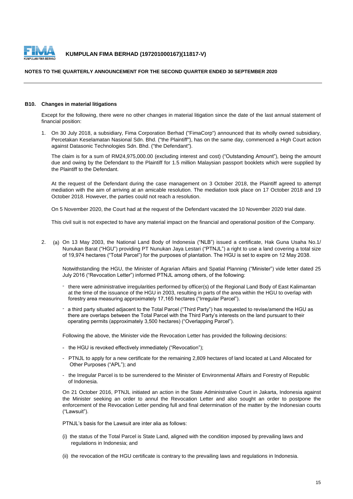

# **NOTES TO THE QUARTERLY ANNOUNCEMENT FOR THE SECOND QUARTER ENDED 30 SEPTEMBER 2020**

#### **B10. Changes in material litigations**

Except for the following, there were no other changes in material litigation since the date of the last annual statement of financial position:

1. On 30 July 2018, a subsidiary, Fima Corporation Berhad ("FimaCorp") announced that its wholly owned subsidiary, Percetakan Keselamatan Nasional Sdn. Bhd. ("the Plaintiff"), has on the same day, commenced a High Court action against Datasonic Technologies Sdn. Bhd. ("the Defendant").

The claim is for a sum of RM24,975,000.00 (excluding interest and cost) ("Outstanding Amount"), being the amount due and owing by the Defendant to the Plaintiff for 1.5 million Malaysian passport booklets which were supplied by the Plaintiff to the Defendant.

At the request of the Defendant during the case management on 3 October 2018, the Plaintiff agreed to attempt mediation with the aim of arriving at an amicable resolution. The mediation took place on 17 October 2018 and 19 October 2018. However, the parties could not reach a resolution.

On 5 November 2020, the Court had at the request of the Defendant vacated the 10 November 2020 trial date.

This civil suit is not expected to have any material impact on the financial and operational position of the Company.

2. (a) On 13 May 2003, the National Land Body of Indonesia ("NLB") issued a certificate, Hak Guna Usaha No.1/ Nunukan Barat ("HGU") providing PT Nunukan Jaya Lestari ("PTNJL") a right to use a land covering a total size of 19,974 hectares ("Total Parcel") for the purposes of plantation. The HGU is set to expire on 12 May 2038.

Notwithstanding the HGU, the Minister of Agrarian Affairs and Spatial Planning ("Minister") vide letter dated 25 July 2016 ("Revocation Letter") informed PTNJL among others, of the following:

- there were administrative irregularities performed by officer(s) of the Regional Land Body of East Kalimantan at the time of the issuance of the HGU in 2003, resulting in parts of the area within the HGU to overlap with forestry area measuring approximately 17,165 hectares ("Irregular Parcel").
- a third party situated adjacent to the Total Parcel ("Third Party") has requested to revise/amend the HGU as there are overlaps between the Total Parcel with the Third Party's interests on the land pursuant to their operating permits (approximately 3,500 hectares) ("Overlapping Parcel").

Following the above, the Minister vide the Revocation Letter has provided the following decisions:

- the HGU is revoked effectively immediately ("Revocation");
- PTNJL to apply for a new certificate for the remaining 2,809 hectares of land located at Land Allocated for Other Purposes ("APL"); and
- the Irregular Parcel is to be surrendered to the Minister of Environmental Affairs and Forestry of Republic of Indonesia.

On 21 October 2016, PTNJL initiated an action in the State Administrative Court in Jakarta, Indonesia against the Minister seeking an order to annul the Revocation Letter and also sought an order to postpone the enforcement of the Revocation Letter pending full and final determination of the matter by the Indonesian courts ("Lawsuit").

PTNJL's basis for the Lawsuit are inter alia as follows:

- (i) the status of the Total Parcel is State Land, aligned with the condition imposed by prevailing laws and regulations in Indonesia; and
- (ii) the revocation of the HGU certificate is contrary to the prevailing laws and regulations in Indonesia.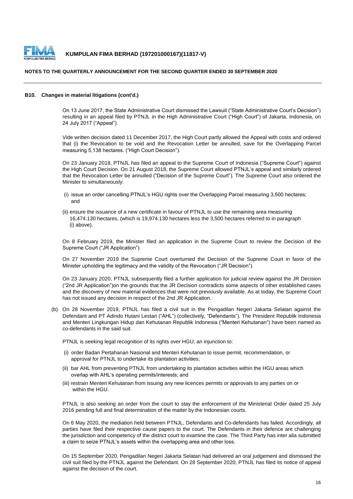

# **NOTES TO THE QUARTERLY ANNOUNCEMENT FOR THE SECOND QUARTER ENDED 30 SEPTEMBER 2020**

#### **B10. Changes in material litigations (cont'd.)**

On 13 June 2017, the State Administrative Court dismissed the Lawsuit ("State Administrative Court's Decision") resulting in an appeal filed by PTNJL in the High Administrative Court ("High Court") of Jakarta, Indonesia, on 24 July 2017 ("Appeal").

Vide written decision dated 11 December 2017, the High Court partly allowed the Appeal with costs and ordered that (i) the Revocation to be void and the Revocation Letter be annulled, save for the Overlapping Parcel measuring 5,138 hectares. ("High Court Decision").

On 23 January 2018, PTNJL has filed an appeal to the Supreme Court of Indonesia ("Supreme Court") against the High Court Decision. On 21 August 2018, the Supreme Court allowed PTNJL's appeal and similarly ordered that the Revocation Letter be annulled ("Decision of the Supreme Court"). The Supreme Court also ordered the Minister to simultaneously:

- (i) issue an order cancelling PTNJL's HGU rights over the Overlapping Parcel measuring 3,500 hectares; and
- (ii) ensure the issuance of a new certificate in favour of PTNJL to use the remaining area measuring 16,474.130 hectares, (which is 19,974.130 hectares less the 3,500 hectares referred to in paragraph (i) above).

On 8 February 2019, the Minister filed an application in the Supreme Court to review the Decision of the Supreme Court ("JR Application").

On 27 November 2019 the Supreme Court overturned the Decision of the Supreme Court in favor of the Minister upholding the legitimacy and the validity of the Revocation ("JR Decision").

On 23 January 2020, PTNJL subsequently filed a further application for judicial review against the JR Decision ("2nd JR Application")on the grounds that the JR Decision contradicts some aspects of other established cases and the discovery of new material evidences that were not previously available. As at today, the Supreme Court has not issued any decision in respect of the 2nd JR Application.

(b) On 28 November 2019, PTNJL has filed a civil suit in the Pengadilan Negeri Jakarta Selatan against the Defendant and PT Adindo Hutani Lestari ("AHL") (collectively, "Defendants"). The President Republik Indonesia and Menteri Lingkungan Hidup dan Kehutanan Republik Indonesia ("Menteri Kehutanan") have been named as co-defendants in the said suit.

PTNJL is seeking legal recognition of its rights over HGU; an injunction to:

- (i) order Badan Pertahanan Nasional and Menteri Kehutanan to issue permit, recommendation, or approval for PTNJL to undertake its plantation activities;
- (ii) bar AHL from preventing PTNJL from undertaking its plantation activities within the HGU areas which overlap with AHL's operating permits/interests; and
- (iii) restrain Menteri Kehutanan from issuing any new licences permits or approvals to any parties on or within the HGU.

PTNJL is also seeking an order from the court to stay the enforcement of the Ministerial Order dated 25 July 2016 pending full and final determination of the matter by the Indonesian courts.

On 6 May 2020, the mediation held between PTNJL, Defendants and Co-defendants has failed. Accordingly, all parties have filed their respective cause papers to the court. The Defendants in their defence are challenging the jurisdiction and competency of the district court to examine the case. The Third Party has inter alia submitted a claim to seize PTNJL's assets within the overlapping area and other loss.

On 15 September 2020, Pengadilan Negeri Jakarta Selatan had delivered an oral judgement and dismissed the civil suit filed by the PTNJL against the Defendant. On 28 September 2020, PTNJL has filed its notice of appeal against the decision of the court.